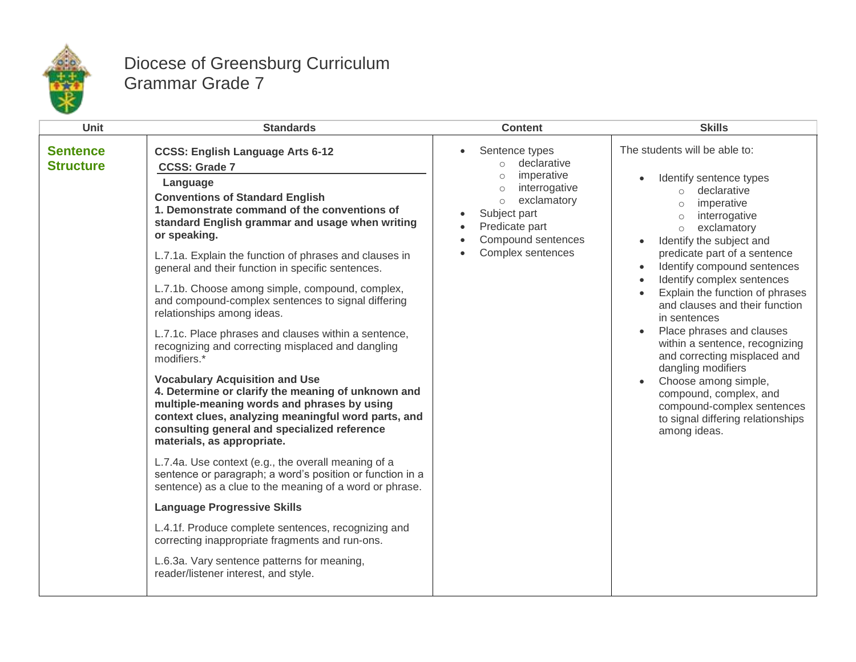

## Diocese of Greensburg Curriculum Grammar Grade 7

| Unit                                | <b>Standards</b>                                                                                                                                                                                                                                                                                                                                                                                                                                                                                                                                                                                                                                                                                                                                                                                                                                                                                                                                                                                                                                                                                                                                                                                                                                                                                                                    | <b>Content</b>                                                                                                                                                                                                    | <b>Skills</b>                                                                                                                                                                                                                                                                                                                                                                                                                                                                                                                                                                                                                                 |
|-------------------------------------|-------------------------------------------------------------------------------------------------------------------------------------------------------------------------------------------------------------------------------------------------------------------------------------------------------------------------------------------------------------------------------------------------------------------------------------------------------------------------------------------------------------------------------------------------------------------------------------------------------------------------------------------------------------------------------------------------------------------------------------------------------------------------------------------------------------------------------------------------------------------------------------------------------------------------------------------------------------------------------------------------------------------------------------------------------------------------------------------------------------------------------------------------------------------------------------------------------------------------------------------------------------------------------------------------------------------------------------|-------------------------------------------------------------------------------------------------------------------------------------------------------------------------------------------------------------------|-----------------------------------------------------------------------------------------------------------------------------------------------------------------------------------------------------------------------------------------------------------------------------------------------------------------------------------------------------------------------------------------------------------------------------------------------------------------------------------------------------------------------------------------------------------------------------------------------------------------------------------------------|
| <b>Sentence</b><br><b>Structure</b> | <b>CCSS: English Language Arts 6-12</b><br><b>CCSS: Grade 7</b><br>Language<br><b>Conventions of Standard English</b><br>1. Demonstrate command of the conventions of<br>standard English grammar and usage when writing<br>or speaking.<br>L.7.1a. Explain the function of phrases and clauses in<br>general and their function in specific sentences.<br>L.7.1b. Choose among simple, compound, complex,<br>and compound-complex sentences to signal differing<br>relationships among ideas.<br>L.7.1c. Place phrases and clauses within a sentence,<br>recognizing and correcting misplaced and dangling<br>modifiers.*<br><b>Vocabulary Acquisition and Use</b><br>4. Determine or clarify the meaning of unknown and<br>multiple-meaning words and phrases by using<br>context clues, analyzing meaningful word parts, and<br>consulting general and specialized reference<br>materials, as appropriate.<br>L.7.4a. Use context (e.g., the overall meaning of a<br>sentence or paragraph; a word's position or function in a<br>sentence) as a clue to the meaning of a word or phrase.<br><b>Language Progressive Skills</b><br>L.4.1f. Produce complete sentences, recognizing and<br>correcting inappropriate fragments and run-ons.<br>L.6.3a. Vary sentence patterns for meaning,<br>reader/listener interest, and style. | Sentence types<br>$\bullet$<br>declarative<br>$\circ$<br>imperative<br>$\circ$<br>interrogative<br>$\circ$<br>exclamatory<br>$\circ$<br>Subject part<br>Predicate part<br>Compound sentences<br>Complex sentences | The students will be able to:<br>Identify sentence types<br>o declarative<br>imperative<br>$\circ$<br>interrogative<br>$\circ$<br>exclamatory<br>$\circ$<br>Identify the subject and<br>predicate part of a sentence<br>Identify compound sentences<br>$\bullet$<br>Identify complex sentences<br>Explain the function of phrases<br>and clauses and their function<br>in sentences<br>Place phrases and clauses<br>within a sentence, recognizing<br>and correcting misplaced and<br>dangling modifiers<br>Choose among simple,<br>compound, complex, and<br>compound-complex sentences<br>to signal differing relationships<br>among ideas. |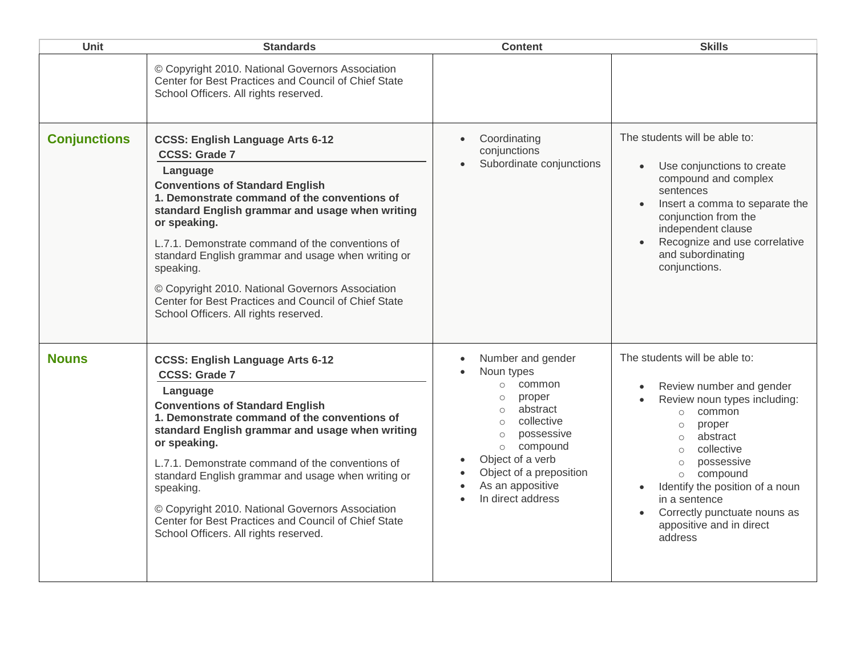| <b>Unit</b>         | <b>Standards</b>                                                                                                                                                                                                                                                                                                                                                                                                                                                                                                     | <b>Content</b>                                                                                                                                                                                                                                                                 | <b>Skills</b>                                                                                                                                                                                                                                                                                                                                                                  |
|---------------------|----------------------------------------------------------------------------------------------------------------------------------------------------------------------------------------------------------------------------------------------------------------------------------------------------------------------------------------------------------------------------------------------------------------------------------------------------------------------------------------------------------------------|--------------------------------------------------------------------------------------------------------------------------------------------------------------------------------------------------------------------------------------------------------------------------------|--------------------------------------------------------------------------------------------------------------------------------------------------------------------------------------------------------------------------------------------------------------------------------------------------------------------------------------------------------------------------------|
|                     | © Copyright 2010. National Governors Association<br>Center for Best Practices and Council of Chief State<br>School Officers. All rights reserved.                                                                                                                                                                                                                                                                                                                                                                    |                                                                                                                                                                                                                                                                                |                                                                                                                                                                                                                                                                                                                                                                                |
| <b>Conjunctions</b> | <b>CCSS: English Language Arts 6-12</b><br><b>CCSS: Grade 7</b><br>Language<br><b>Conventions of Standard English</b><br>1. Demonstrate command of the conventions of<br>standard English grammar and usage when writing<br>or speaking.<br>L.7.1. Demonstrate command of the conventions of<br>standard English grammar and usage when writing or<br>speaking.<br>© Copyright 2010. National Governors Association<br>Center for Best Practices and Council of Chief State<br>School Officers. All rights reserved. | Coordinating<br>$\bullet$<br>conjunctions<br>Subordinate conjunctions                                                                                                                                                                                                          | The students will be able to:<br>Use conjunctions to create<br>$\bullet$<br>compound and complex<br>sentences<br>Insert a comma to separate the<br>$\bullet$<br>conjunction from the<br>independent clause<br>Recognize and use correlative<br>and subordinating<br>conjunctions.                                                                                              |
| <b>Nouns</b>        | <b>CCSS: English Language Arts 6-12</b><br><b>CCSS: Grade 7</b><br>Language<br><b>Conventions of Standard English</b><br>1. Demonstrate command of the conventions of<br>standard English grammar and usage when writing<br>or speaking.<br>L.7.1. Demonstrate command of the conventions of<br>standard English grammar and usage when writing or<br>speaking.<br>© Copyright 2010. National Governors Association<br>Center for Best Practices and Council of Chief State<br>School Officers. All rights reserved. | Number and gender<br>Noun types<br>common<br>$\circ$<br>proper<br>$\circ$<br>abstract<br>$\circ$<br>collective<br>$\circ$<br>possessive<br>$\circ$<br>compound<br>$\circ$<br>Object of a verb<br>Object of a preposition<br>As an appositive<br>$\bullet$<br>In direct address | The students will be able to:<br>Review number and gender<br>Review noun types including:<br>$\bullet$<br>common<br>$\circ$<br>proper<br>$\circ$<br>abstract<br>$\circ$<br>collective<br>$\bigcirc$<br>possessive<br>$\circ$<br>compound<br>$\circ$<br>Identify the position of a noun<br>in a sentence<br>Correctly punctuate nouns as<br>appositive and in direct<br>address |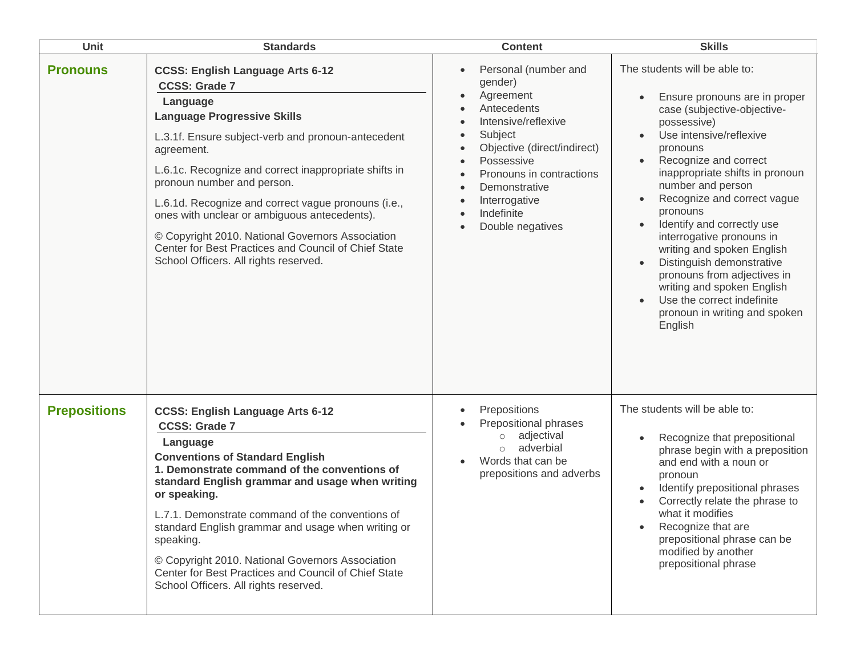| <b>Unit</b>         | <b>Standards</b>                                                                                                                                                                                                                                                                                                                                                                                                                                                                                                                         | <b>Content</b>                                                                                                                                                                                                                                                       | <b>Skills</b>                                                                                                                                                                                                                                                                                                                                                                                                                                                                                                                                |
|---------------------|------------------------------------------------------------------------------------------------------------------------------------------------------------------------------------------------------------------------------------------------------------------------------------------------------------------------------------------------------------------------------------------------------------------------------------------------------------------------------------------------------------------------------------------|----------------------------------------------------------------------------------------------------------------------------------------------------------------------------------------------------------------------------------------------------------------------|----------------------------------------------------------------------------------------------------------------------------------------------------------------------------------------------------------------------------------------------------------------------------------------------------------------------------------------------------------------------------------------------------------------------------------------------------------------------------------------------------------------------------------------------|
| <b>Pronouns</b>     | <b>CCSS: English Language Arts 6-12</b><br><b>CCSS: Grade 7</b><br>Language<br><b>Language Progressive Skills</b><br>L.3.1f. Ensure subject-verb and pronoun-antecedent<br>agreement.<br>L.6.1c. Recognize and correct inappropriate shifts in<br>pronoun number and person.<br>L.6.1d. Recognize and correct vague pronouns (i.e.,<br>ones with unclear or ambiguous antecedents).<br>© Copyright 2010. National Governors Association<br>Center for Best Practices and Council of Chief State<br>School Officers. All rights reserved. | Personal (number and<br>$\bullet$<br>gender)<br>Agreement<br>Antecedents<br>Intensive/reflexive<br>Subject<br>Objective (direct/indirect)<br>Possessive<br>Pronouns in contractions<br>Demonstrative<br>$\bullet$<br>Interrogative<br>Indefinite<br>Double negatives | The students will be able to:<br>Ensure pronouns are in proper<br>case (subjective-objective-<br>possessive)<br>Use intensive/reflexive<br>pronouns<br>Recognize and correct<br>inappropriate shifts in pronoun<br>number and person<br>Recognize and correct vague<br>pronouns<br>Identify and correctly use<br>interrogative pronouns in<br>writing and spoken English<br>Distinguish demonstrative<br>pronouns from adjectives in<br>writing and spoken English<br>Use the correct indefinite<br>pronoun in writing and spoken<br>English |
| <b>Prepositions</b> | <b>CCSS: English Language Arts 6-12</b><br><b>CCSS: Grade 7</b><br>Language<br><b>Conventions of Standard English</b><br>1. Demonstrate command of the conventions of<br>standard English grammar and usage when writing<br>or speaking.<br>L.7.1. Demonstrate command of the conventions of<br>standard English grammar and usage when writing or<br>speaking.<br>© Copyright 2010. National Governors Association<br>Center for Best Practices and Council of Chief State<br>School Officers. All rights reserved.                     | Prepositions<br>$\bullet$<br>Prepositional phrases<br>adjectival<br>$\circ$<br>adverbial<br>$\circ$<br>Words that can be<br>prepositions and adverbs                                                                                                                 | The students will be able to:<br>Recognize that prepositional<br>phrase begin with a preposition<br>and end with a noun or<br>pronoun<br>Identify prepositional phrases<br>Correctly relate the phrase to<br>what it modifies<br>Recognize that are<br>prepositional phrase can be<br>modified by another<br>prepositional phrase                                                                                                                                                                                                            |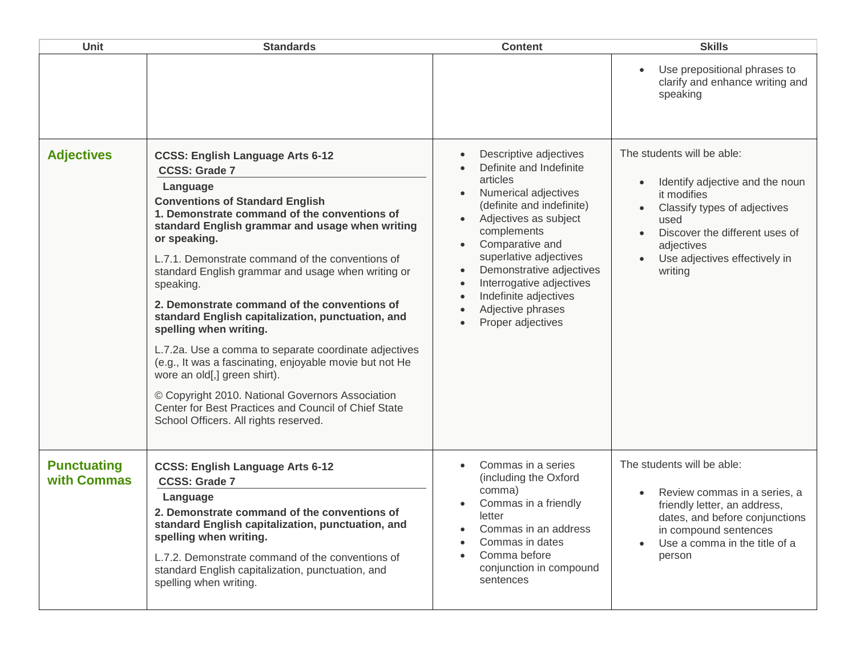| <b>Unit</b>                       | <b>Standards</b>                                                                                                                                                                                                                                                                                                                                                                                                                                                                                                                                                                                                                                                                                                                                                                                        | <b>Content</b>                                                                                                                                                                                                                                                                                                                     | <b>Skills</b>                                                                                                                                                                                                                 |
|-----------------------------------|---------------------------------------------------------------------------------------------------------------------------------------------------------------------------------------------------------------------------------------------------------------------------------------------------------------------------------------------------------------------------------------------------------------------------------------------------------------------------------------------------------------------------------------------------------------------------------------------------------------------------------------------------------------------------------------------------------------------------------------------------------------------------------------------------------|------------------------------------------------------------------------------------------------------------------------------------------------------------------------------------------------------------------------------------------------------------------------------------------------------------------------------------|-------------------------------------------------------------------------------------------------------------------------------------------------------------------------------------------------------------------------------|
|                                   |                                                                                                                                                                                                                                                                                                                                                                                                                                                                                                                                                                                                                                                                                                                                                                                                         |                                                                                                                                                                                                                                                                                                                                    | Use prepositional phrases to<br>clarify and enhance writing and<br>speaking                                                                                                                                                   |
| <b>Adjectives</b>                 | <b>CCSS: English Language Arts 6-12</b><br><b>CCSS: Grade 7</b><br>Language<br><b>Conventions of Standard English</b><br>1. Demonstrate command of the conventions of<br>standard English grammar and usage when writing<br>or speaking.<br>L.7.1. Demonstrate command of the conventions of<br>standard English grammar and usage when writing or<br>speaking.<br>2. Demonstrate command of the conventions of<br>standard English capitalization, punctuation, and<br>spelling when writing.<br>L.7.2a. Use a comma to separate coordinate adjectives<br>(e.g., It was a fascinating, enjoyable movie but not He<br>wore an old[,] green shirt).<br>© Copyright 2010. National Governors Association<br>Center for Best Practices and Council of Chief State<br>School Officers. All rights reserved. | Descriptive adjectives<br>Definite and Indefinite<br>articles<br>Numerical adjectives<br>(definite and indefinite)<br>Adjectives as subject<br>complements<br>Comparative and<br>superlative adjectives<br>Demonstrative adjectives<br>Interrogative adjectives<br>Indefinite adjectives<br>Adjective phrases<br>Proper adjectives | The students will be able:<br>Identify adjective and the noun<br>it modifies<br>Classify types of adjectives<br>used<br>Discover the different uses of<br>$\bullet$<br>adjectives<br>Use adjectives effectively in<br>writing |
| <b>Punctuating</b><br>with Commas | <b>CCSS: English Language Arts 6-12</b><br><b>CCSS: Grade 7</b><br>Language<br>2. Demonstrate command of the conventions of<br>standard English capitalization, punctuation, and<br>spelling when writing.<br>L.7.2. Demonstrate command of the conventions of<br>standard English capitalization, punctuation, and<br>spelling when writing.                                                                                                                                                                                                                                                                                                                                                                                                                                                           | Commas in a series<br>(including the Oxford<br>comma)<br>Commas in a friendly<br>letter<br>Commas in an address<br>Commas in dates<br>Comma before<br>conjunction in compound<br>sentences                                                                                                                                         | The students will be able:<br>Review commas in a series, a<br>friendly letter, an address,<br>dates, and before conjunctions<br>in compound sentences<br>Use a comma in the title of a<br>person                              |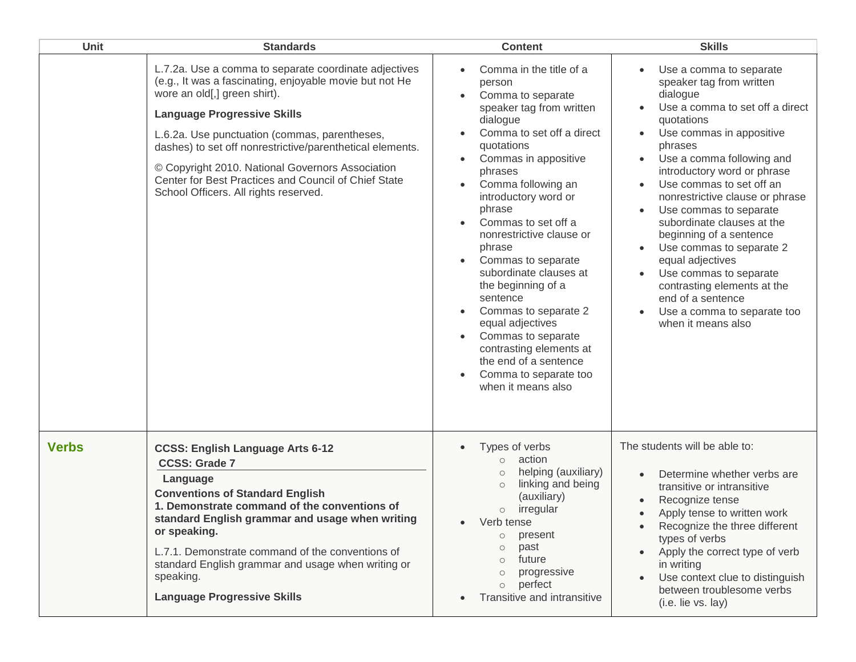| Unit         | <b>Standards</b>                                                                                                                                                                                                                                                                                                                                                                                                                                          | <b>Content</b>                                                                                                                                                                                                                                                                                                                                                                                                                                                                                                                                                        | <b>Skills</b>                                                                                                                                                                                                                                                                                                                                                                                                                                                                                                                                            |
|--------------|-----------------------------------------------------------------------------------------------------------------------------------------------------------------------------------------------------------------------------------------------------------------------------------------------------------------------------------------------------------------------------------------------------------------------------------------------------------|-----------------------------------------------------------------------------------------------------------------------------------------------------------------------------------------------------------------------------------------------------------------------------------------------------------------------------------------------------------------------------------------------------------------------------------------------------------------------------------------------------------------------------------------------------------------------|----------------------------------------------------------------------------------------------------------------------------------------------------------------------------------------------------------------------------------------------------------------------------------------------------------------------------------------------------------------------------------------------------------------------------------------------------------------------------------------------------------------------------------------------------------|
|              | L.7.2a. Use a comma to separate coordinate adjectives<br>(e.g., It was a fascinating, enjoyable movie but not He<br>wore an old[,] green shirt).<br><b>Language Progressive Skills</b><br>L.6.2a. Use punctuation (commas, parentheses,<br>dashes) to set off nonrestrictive/parenthetical elements.<br>© Copyright 2010. National Governors Association<br>Center for Best Practices and Council of Chief State<br>School Officers. All rights reserved. | Comma in the title of a<br>person<br>Comma to separate<br>speaker tag from written<br>dialogue<br>Comma to set off a direct<br>quotations<br>Commas in appositive<br>$\bullet$<br>phrases<br>Comma following an<br>introductory word or<br>phrase<br>Commas to set off a<br>nonrestrictive clause or<br>phrase<br>Commas to separate<br>subordinate clauses at<br>the beginning of a<br>sentence<br>Commas to separate 2<br>equal adjectives<br>Commas to separate<br>contrasting elements at<br>the end of a sentence<br>Comma to separate too<br>when it means also | Use a comma to separate<br>speaker tag from written<br>dialogue<br>Use a comma to set off a direct<br>quotations<br>Use commas in appositive<br>phrases<br>Use a comma following and<br>introductory word or phrase<br>Use commas to set off an<br>nonrestrictive clause or phrase<br>Use commas to separate<br>subordinate clauses at the<br>beginning of a sentence<br>Use commas to separate 2<br>equal adjectives<br>Use commas to separate<br>contrasting elements at the<br>end of a sentence<br>Use a comma to separate too<br>when it means also |
| <b>Verbs</b> | <b>CCSS: English Language Arts 6-12</b><br><b>CCSS: Grade 7</b><br>Language<br><b>Conventions of Standard English</b><br>1. Demonstrate command of the conventions of<br>standard English grammar and usage when writing<br>or speaking.<br>L.7.1. Demonstrate command of the conventions of<br>standard English grammar and usage when writing or<br>speaking.<br><b>Language Progressive Skills</b>                                                     | Types of verbs<br>action<br>$\circ$<br>helping (auxiliary)<br>$\circlearrowright$<br>linking and being<br>$\circ$<br>(auxiliary)<br>irregular<br>$\circ$<br>Verb tense<br>present<br>$\circ$<br>past<br>$\circlearrowright$<br>future<br>$\circ$<br>progressive<br>$\circ$<br>perfect<br>$\circ$<br>Transitive and intransitive                                                                                                                                                                                                                                       | The students will be able to:<br>Determine whether verbs are<br>transitive or intransitive<br>Recognize tense<br>Apply tense to written work<br>Recognize the three different<br>types of verbs<br>Apply the correct type of verb<br>in writing<br>Use context clue to distinguish<br>between troublesome verbs<br>(i.e. lie vs. lay)                                                                                                                                                                                                                    |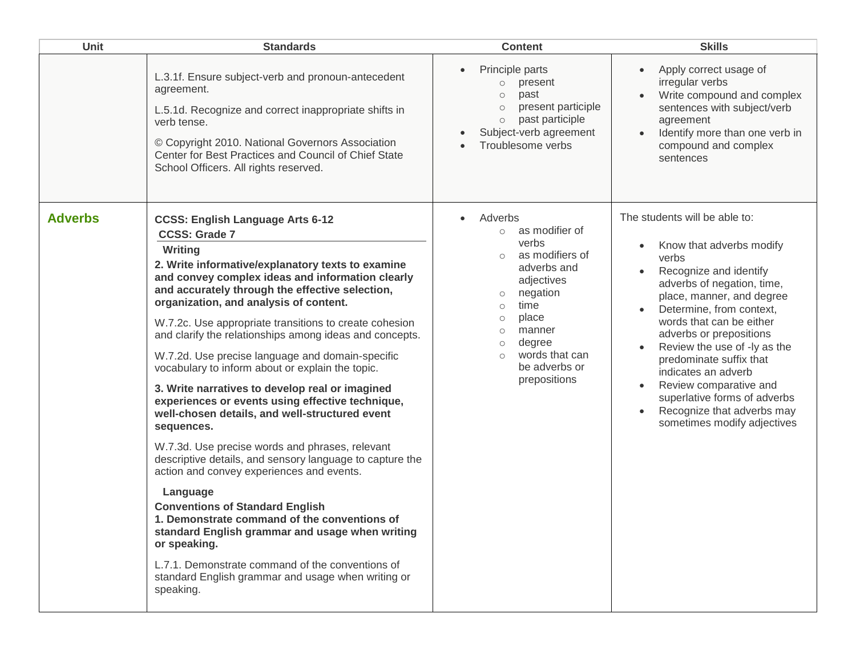| <b>Unit</b>    | <b>Standards</b>                                                                                                                                                                                                                                                                                                                                                                                                                                                                                                                                                                                                                                                                                                                                                                                                                                                                                                                                                                                                                                                                                                                                 | <b>Content</b>                                                                                                                                                                                                                                                                 | <b>Skills</b>                                                                                                                                                                                                                                                                                                                                                                                                                                                                              |
|----------------|--------------------------------------------------------------------------------------------------------------------------------------------------------------------------------------------------------------------------------------------------------------------------------------------------------------------------------------------------------------------------------------------------------------------------------------------------------------------------------------------------------------------------------------------------------------------------------------------------------------------------------------------------------------------------------------------------------------------------------------------------------------------------------------------------------------------------------------------------------------------------------------------------------------------------------------------------------------------------------------------------------------------------------------------------------------------------------------------------------------------------------------------------|--------------------------------------------------------------------------------------------------------------------------------------------------------------------------------------------------------------------------------------------------------------------------------|--------------------------------------------------------------------------------------------------------------------------------------------------------------------------------------------------------------------------------------------------------------------------------------------------------------------------------------------------------------------------------------------------------------------------------------------------------------------------------------------|
|                | L.3.1f. Ensure subject-verb and pronoun-antecedent<br>agreement.<br>L.5.1d. Recognize and correct inappropriate shifts in<br>verb tense.<br>© Copyright 2010. National Governors Association<br>Center for Best Practices and Council of Chief State<br>School Officers. All rights reserved.                                                                                                                                                                                                                                                                                                                                                                                                                                                                                                                                                                                                                                                                                                                                                                                                                                                    | Principle parts<br>present<br>$\circ$<br>past<br>$\circ$<br>present participle<br>$\circ$<br>past participle<br>$\circ$<br>Subject-verb agreement<br>Troublesome verbs                                                                                                         | Apply correct usage of<br>irregular verbs<br>Write compound and complex<br>sentences with subject/verb<br>agreement<br>Identify more than one verb in<br>compound and complex<br>sentences                                                                                                                                                                                                                                                                                                 |
| <b>Adverbs</b> | <b>CCSS: English Language Arts 6-12</b><br><b>CCSS: Grade 7</b><br>Writing<br>2. Write informative/explanatory texts to examine<br>and convey complex ideas and information clearly<br>and accurately through the effective selection,<br>organization, and analysis of content.<br>W.7.2c. Use appropriate transitions to create cohesion<br>and clarify the relationships among ideas and concepts.<br>W.7.2d. Use precise language and domain-specific<br>vocabulary to inform about or explain the topic.<br>3. Write narratives to develop real or imagined<br>experiences or events using effective technique,<br>well-chosen details, and well-structured event<br>sequences.<br>W.7.3d. Use precise words and phrases, relevant<br>descriptive details, and sensory language to capture the<br>action and convey experiences and events.<br>Language<br><b>Conventions of Standard English</b><br>1. Demonstrate command of the conventions of<br>standard English grammar and usage when writing<br>or speaking.<br>L.7.1. Demonstrate command of the conventions of<br>standard English grammar and usage when writing or<br>speaking. | Adverbs<br>as modifier of<br>$\circ$<br>verbs<br>as modifiers of<br>$\circ$<br>adverbs and<br>adjectives<br>negation<br>$\circ$<br>time<br>$\circ$<br>place<br>$\circ$<br>manner<br>$\circ$<br>degree<br>$\circ$<br>words that can<br>$\circ$<br>be adverbs or<br>prepositions | The students will be able to:<br>Know that adverbs modify<br>verbs<br>Recognize and identify<br>adverbs of negation, time,<br>place, manner, and degree<br>Determine, from context,<br>words that can be either<br>adverbs or prepositions<br>Review the use of -ly as the<br>$\bullet$<br>predominate suffix that<br>indicates an adverb<br>Review comparative and<br>$\bullet$<br>superlative forms of adverbs<br>Recognize that adverbs may<br>$\bullet$<br>sometimes modify adjectives |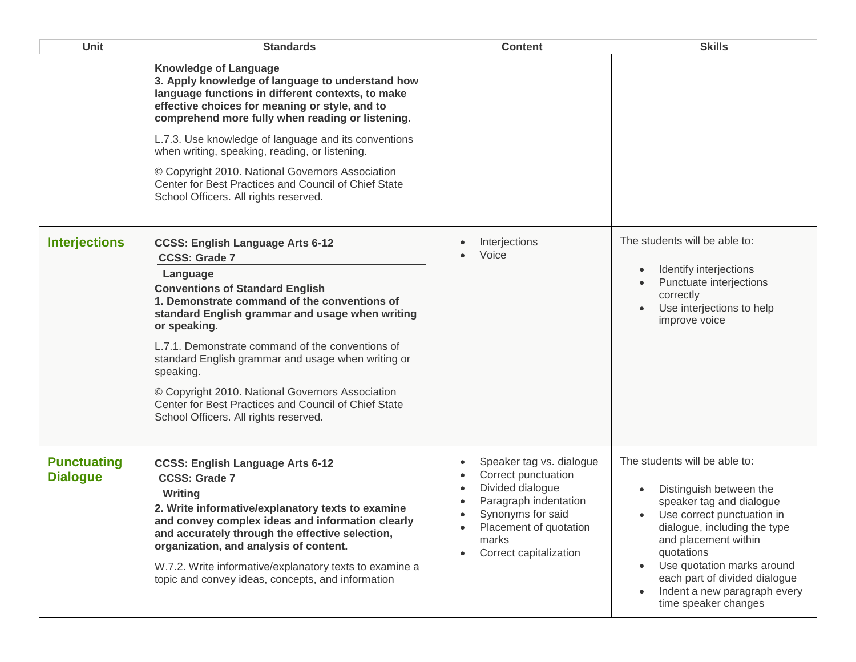| Unit                                  | <b>Standards</b>                                                                                                                                                                                                                                                                                                                                                                                                                                                                                                     | <b>Content</b>                                                                                                                                                                 | <b>Skills</b>                                                                                                                                                                                                                                                                                                   |
|---------------------------------------|----------------------------------------------------------------------------------------------------------------------------------------------------------------------------------------------------------------------------------------------------------------------------------------------------------------------------------------------------------------------------------------------------------------------------------------------------------------------------------------------------------------------|--------------------------------------------------------------------------------------------------------------------------------------------------------------------------------|-----------------------------------------------------------------------------------------------------------------------------------------------------------------------------------------------------------------------------------------------------------------------------------------------------------------|
|                                       | <b>Knowledge of Language</b><br>3. Apply knowledge of language to understand how<br>language functions in different contexts, to make<br>effective choices for meaning or style, and to<br>comprehend more fully when reading or listening.<br>L.7.3. Use knowledge of language and its conventions<br>when writing, speaking, reading, or listening.<br>© Copyright 2010. National Governors Association<br>Center for Best Practices and Council of Chief State<br>School Officers. All rights reserved.           |                                                                                                                                                                                |                                                                                                                                                                                                                                                                                                                 |
| <b>Interjections</b>                  | <b>CCSS: English Language Arts 6-12</b><br><b>CCSS: Grade 7</b><br>Language<br><b>Conventions of Standard English</b><br>1. Demonstrate command of the conventions of<br>standard English grammar and usage when writing<br>or speaking.<br>L.7.1. Demonstrate command of the conventions of<br>standard English grammar and usage when writing or<br>speaking.<br>© Copyright 2010. National Governors Association<br>Center for Best Practices and Council of Chief State<br>School Officers. All rights reserved. | Interjections<br>Voice                                                                                                                                                         | The students will be able to:<br>Identify interjections<br>Punctuate interjections<br>correctly<br>Use interjections to help<br>improve voice                                                                                                                                                                   |
| <b>Punctuating</b><br><b>Dialogue</b> | <b>CCSS: English Language Arts 6-12</b><br><b>CCSS: Grade 7</b><br>Writing<br>2. Write informative/explanatory texts to examine<br>and convey complex ideas and information clearly<br>and accurately through the effective selection,<br>organization, and analysis of content.<br>W.7.2. Write informative/explanatory texts to examine a<br>topic and convey ideas, concepts, and information                                                                                                                     | Speaker tag vs. dialogue<br>Correct punctuation<br>Divided dialogue<br>Paragraph indentation<br>Synonyms for said<br>Placement of quotation<br>marks<br>Correct capitalization | The students will be able to:<br>Distinguish between the<br>speaker tag and dialogue<br>Use correct punctuation in<br>dialogue, including the type<br>and placement within<br>quotations<br>Use quotation marks around<br>each part of divided dialogue<br>Indent a new paragraph every<br>time speaker changes |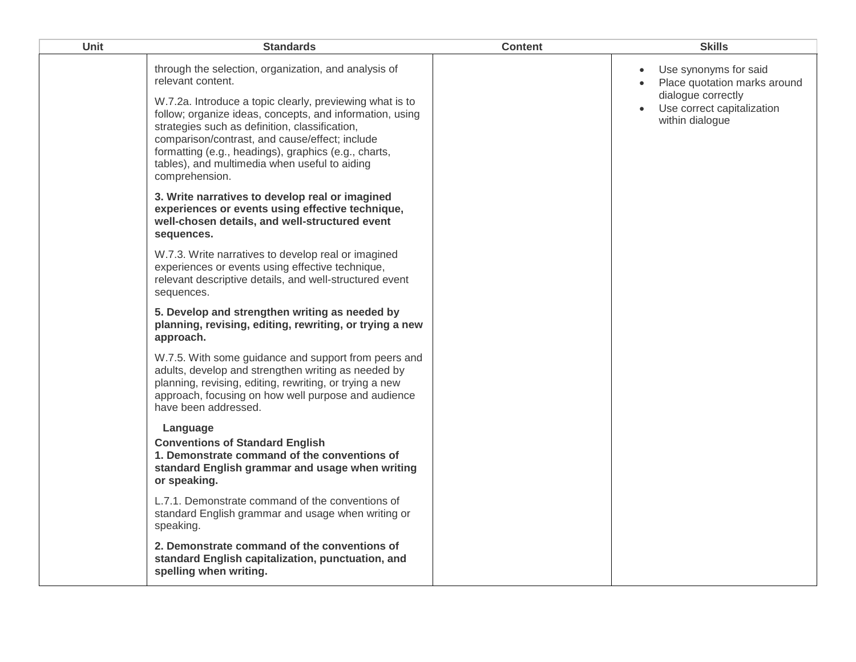| <b>Unit</b> | <b>Standards</b>                                                                                                                                                                                                                                                                                                                                                                                                                 | <b>Content</b> | <b>Skills</b>                                                                                                                             |
|-------------|----------------------------------------------------------------------------------------------------------------------------------------------------------------------------------------------------------------------------------------------------------------------------------------------------------------------------------------------------------------------------------------------------------------------------------|----------------|-------------------------------------------------------------------------------------------------------------------------------------------|
|             | through the selection, organization, and analysis of<br>relevant content.<br>W.7.2a. Introduce a topic clearly, previewing what is to<br>follow; organize ideas, concepts, and information, using<br>strategies such as definition, classification,<br>comparison/contrast, and cause/effect; include<br>formatting (e.g., headings), graphics (e.g., charts,<br>tables), and multimedia when useful to aiding<br>comprehension. |                | Use synonyms for said<br>$\bullet$<br>Place quotation marks around<br>dialogue correctly<br>Use correct capitalization<br>within dialogue |
|             | 3. Write narratives to develop real or imagined<br>experiences or events using effective technique,<br>well-chosen details, and well-structured event<br>sequences.                                                                                                                                                                                                                                                              |                |                                                                                                                                           |
|             | W.7.3. Write narratives to develop real or imagined<br>experiences or events using effective technique,<br>relevant descriptive details, and well-structured event<br>sequences.                                                                                                                                                                                                                                                 |                |                                                                                                                                           |
|             | 5. Develop and strengthen writing as needed by<br>planning, revising, editing, rewriting, or trying a new<br>approach.                                                                                                                                                                                                                                                                                                           |                |                                                                                                                                           |
|             | W.7.5. With some guidance and support from peers and<br>adults, develop and strengthen writing as needed by<br>planning, revising, editing, rewriting, or trying a new<br>approach, focusing on how well purpose and audience<br>have been addressed.                                                                                                                                                                            |                |                                                                                                                                           |
|             | Language<br><b>Conventions of Standard English</b><br>1. Demonstrate command of the conventions of<br>standard English grammar and usage when writing<br>or speaking.                                                                                                                                                                                                                                                            |                |                                                                                                                                           |
|             | L.7.1. Demonstrate command of the conventions of<br>standard English grammar and usage when writing or<br>speaking.                                                                                                                                                                                                                                                                                                              |                |                                                                                                                                           |
|             | 2. Demonstrate command of the conventions of<br>standard English capitalization, punctuation, and<br>spelling when writing.                                                                                                                                                                                                                                                                                                      |                |                                                                                                                                           |